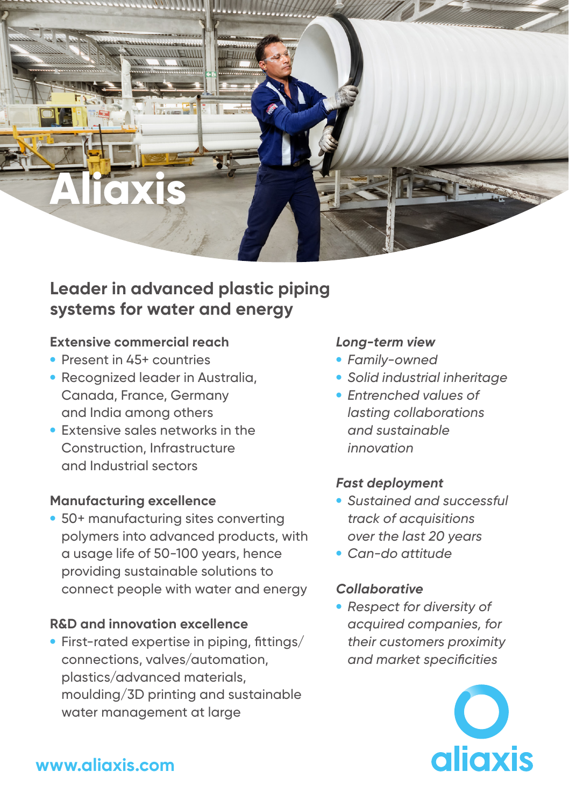

# **Leader in advanced plastic piping systems for water and energy**

### **Extensive commercial reach**

- Present in 45+ countries
- Recognized leader in Australia, Canada, France, Germany and India among others
- Extensive sales networks in the Construction, Infrastructure and Industrial sectors

#### **Manufacturing excellence**

• 50+ manufacturing sites converting polymers into advanced products, with a usage life of 50-100 years, hence providing sustainable solutions to connect people with water and energy

#### **R&D and innovation excellence**

• First-rated expertise in piping, fittings/ connections, valves/automation, plastics/advanced materials, moulding/3D printing and sustainable water management at large

### *Long-term view*

- *Family-owned*
- *Solid industrial inheritage*
- *Entrenched values of lasting collaborations and sustainable innovation*

## *Fast deployment*

- *Sustained and successful track of acquisitions over the last 20 years*
- *Can-do attitude*

#### *Collaborative*

• *Respect for diversity of acquired companies, for their customers proximity and market specificities*



# **www.aliaxis.com**